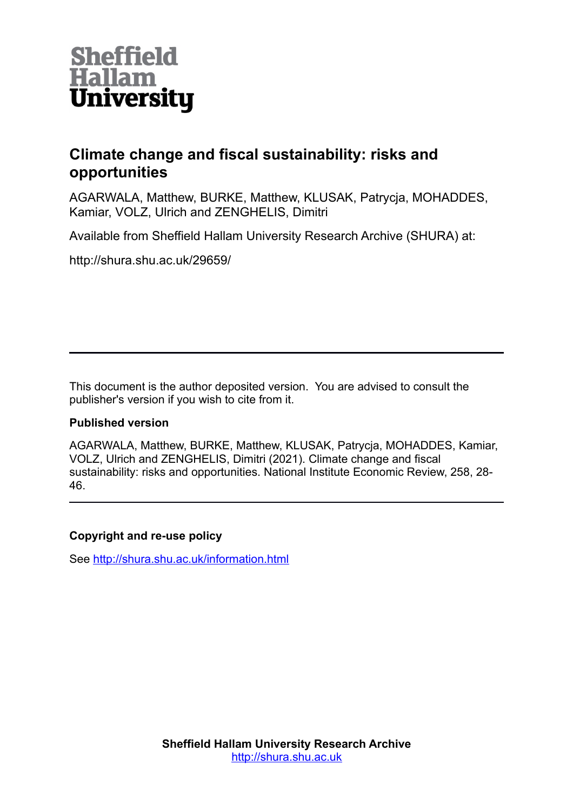

# **Climate change and fiscal sustainability: risks and opportunities**

AGARWALA, Matthew, BURKE, Matthew, KLUSAK, Patrycja, MOHADDES, Kamiar, VOLZ, Ulrich and ZENGHELIS, Dimitri

Available from Sheffield Hallam University Research Archive (SHURA) at:

http://shura.shu.ac.uk/29659/

This document is the author deposited version. You are advised to consult the publisher's version if you wish to cite from it.

## **Published version**

AGARWALA, Matthew, BURKE, Matthew, KLUSAK, Patrycja, MOHADDES, Kamiar, VOLZ, Ulrich and ZENGHELIS, Dimitri (2021). Climate change and fiscal sustainability: risks and opportunities. National Institute Economic Review, 258, 28- 46.

## **Copyright and re-use policy**

See<http://shura.shu.ac.uk/information.html>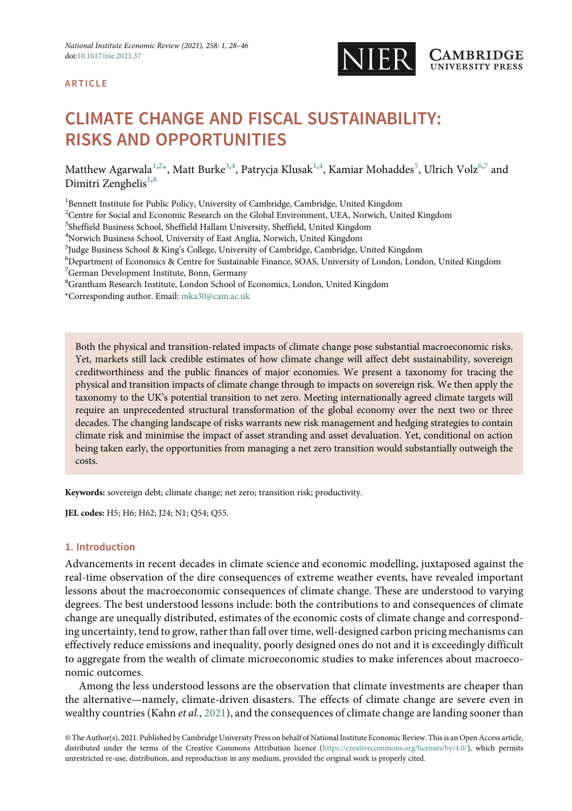

## ARTICLE

# CLIMATE CHANGE AND FISCAL SUSTAINABILITY: RISKS AND OPPORTUNITIES

Matthew Agarwala $^{1,2}$ \*, Matt Burke $^{3,4}$ , Patrycja Klusak $^{1,4}$ , Kamiar Mohaddes $^5$ , Ulrich Volz $^{6,7}$  and Dimitri Zenghelis<sup>1,8</sup>

<sup>1</sup> Bennett Institute for Public Policy, University of Cambridge, Cambridge, United Kingdom

 $2$ Centre for Social and Economic Research on the Global Environment, UEA, Norwich, United Kingdom

3 Sheffield Business School, Sheffield Hallam University, Sheffield, United Kingdom

4 Norwich Business School, University of East Anglia, Norwich, United Kingdom

<sup>5</sup>Judge Business School & King's College, University of Cambridge, Cambridge, United Kingdom<br><sup>6</sup>Department of Economics & Centre for Sustainable Finance, SOAS, University of London, Long

- <sup>6</sup>Department of Economics & Centre for Sustainable Finance, SOAS, University of London, London, United Kingdom 7 German Development Institute, Bonn, Germany
- 8 Grantham Research Institute, London School of Economics, London, United Kingdom

\*Corresponding author. Email: [mka30@cam.ac.uk](mailto:mka30@cam.ac.uk)

Both the physical and transition-related impacts of climate change pose substantial macroeconomic risks. Yet, markets still lack credible estimates of how climate change will affect debt sustainability, sovereign creditworthiness and the public finances of major economies. We present a taxonomy for tracing the physical and transition impacts of climate change through to impacts on sovereign risk. We then apply the taxonomy to the UK's potential transition to net zero. Meeting internationally agreed climate targets will require an unprecedented structural transformation of the global economy over the next two or three decades. The changing landscape of risks warrants new risk management and hedging strategies to contain climate risk and minimise the impact of asset stranding and asset devaluation. Yet, conditional on action being taken early, the opportunities from managing a net zero transition would substantially outweigh the costs.

Keywords: sovereign debt; climate change; net zero; transition risk; productivity.

JEL codes: H5; H6; H62; J24; N1; Q54; Q55.

## 1. Introduction

Advancements in recent decades in climate science and economic modelling, juxtaposed against the real-time observation of the dire consequences of extreme weather events, have revealed important lessons about the macroeconomic consequences of climate change. These are understood to varying degrees. The best understood lessons include: both the contributions to and consequences of climate change are unequally distributed, estimates of the economic costs of climate change and corresponding uncertainty, tend to grow, rather than fall over time, well-designed carbon pricing mechanisms can effectively reduce emissions and inequality, poorly designed ones do not and it is exceedingly difficult to aggregate from the wealth of climate microeconomic studies to make inferences about macroeconomic outcomes.

Among the less understood lessons are the observation that climate investments are cheaper than the alternative—namely, climate-driven disasters. The effects of climate change are severe even in wealthy countries (Kahn et al., [2021](#page-17-0)), and the consequences of climate change are landing sooner than

© The Author(s), 2021. Published by Cambridge University Press on behalf of National Institute Economic Review. This is an Open Access article, distributed under the terms of the Creative Commons Attribution licence [\(https://creativecommons.org/licenses/by/4.0/](https://creativecommons.org/licenses/by/4.0/)), which permits unrestricted re-use, distribution, and reproduction in any medium, provided the original work is properly cited.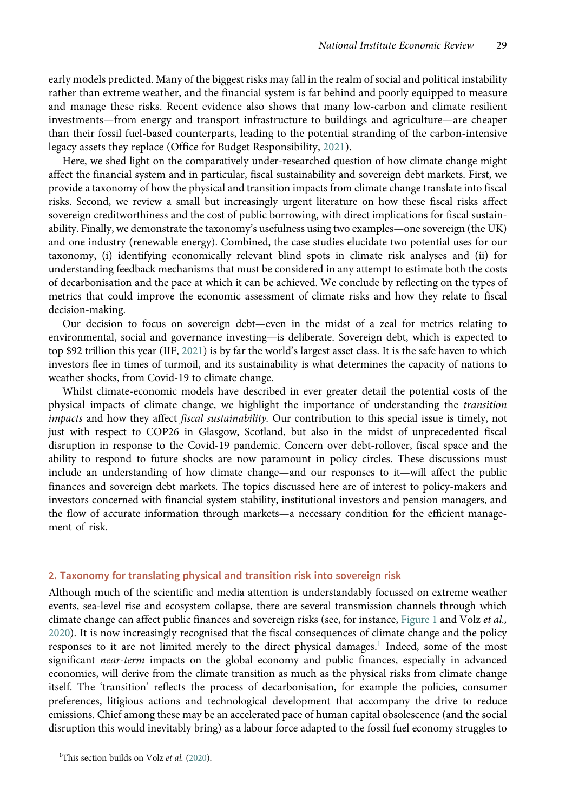early models predicted. Many of the biggest risks may fall in the realm of social and political instability rather than extreme weather, and the financial system is far behind and poorly equipped to measure and manage these risks. Recent evidence also shows that many low-carbon and climate resilient investments—from energy and transport infrastructure to buildings and agriculture—are cheaper than their fossil fuel-based counterparts, leading to the potential stranding of the carbon-intensive legacy assets they replace (Office for Budget Responsibility, [2021\)](#page-18-0).

Here, we shed light on the comparatively under-researched question of how climate change might affect the financial system and in particular, fiscal sustainability and sovereign debt markets. First, we provide a taxonomy of how the physical and transition impacts from climate change translate into fiscal risks. Second, we review a small but increasingly urgent literature on how these fiscal risks affect sovereign creditworthiness and the cost of public borrowing, with direct implications for fiscal sustainability. Finally, we demonstrate the taxonomy's usefulness using two examples—one sovereign (the UK) and one industry (renewable energy). Combined, the case studies elucidate two potential uses for our taxonomy, (i) identifying economically relevant blind spots in climate risk analyses and (ii) for understanding feedback mechanisms that must be considered in any attempt to estimate both the costs of decarbonisation and the pace at which it can be achieved. We conclude by reflecting on the types of metrics that could improve the economic assessment of climate risks and how they relate to fiscal decision-making.

Our decision to focus on sovereign debt—even in the midst of a zeal for metrics relating to environmental, social and governance investing—is deliberate. Sovereign debt, which is expected to top \$92 trillion this year (IIF, [2021](#page-17-0)) is by far the world's largest asset class. It is the safe haven to which investors flee in times of turmoil, and its sustainability is what determines the capacity of nations to weather shocks, from Covid-19 to climate change.

Whilst climate-economic models have described in ever greater detail the potential costs of the physical impacts of climate change, we highlight the importance of understanding the transition impacts and how they affect fiscal sustainability. Our contribution to this special issue is timely, not just with respect to COP26 in Glasgow, Scotland, but also in the midst of unprecedented fiscal disruption in response to the Covid-19 pandemic. Concern over debt-rollover, fiscal space and the ability to respond to future shocks are now paramount in policy circles. These discussions must include an understanding of how climate change—and our responses to it—will affect the public finances and sovereign debt markets. The topics discussed here are of interest to policy-makers and investors concerned with financial system stability, institutional investors and pension managers, and the flow of accurate information through markets—a necessary condition for the efficient management of risk.

## 2. Taxonomy for translating physical and transition risk into sovereign risk

Although much of the scientific and media attention is understandably focussed on extreme weather events, sea-level rise and ecosystem collapse, there are several transmission channels through which climate change can affect public finances and sovereign risks (see, for instance, [Figure 1](#page-3-0) and Volz et al., [2020](#page-19-0)). It is now increasingly recognised that the fiscal consequences of climate change and the policy responses to it are not limited merely to the direct physical damages.<sup>1</sup> Indeed, some of the most significant near-term impacts on the global economy and public finances, especially in advanced economies, will derive from the climate transition as much as the physical risks from climate change itself. The 'transition' reflects the process of decarbonisation, for example the policies, consumer preferences, litigious actions and technological development that accompany the drive to reduce emissions. Chief among these may be an accelerated pace of human capital obsolescence (and the social disruption this would inevitably bring) as a labour force adapted to the fossil fuel economy struggles to

<sup>&</sup>lt;sup>1</sup>This section builds on Volz et al. [\(2020](#page-19-0)).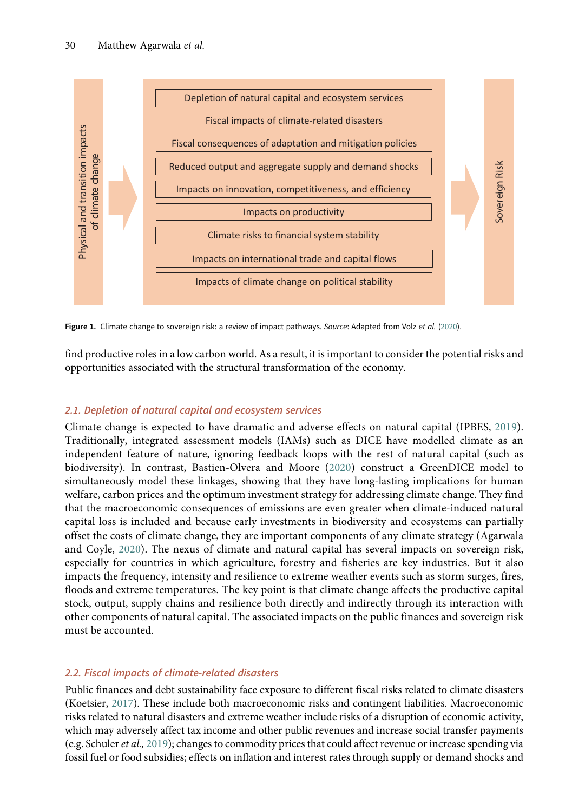<span id="page-3-0"></span>

Figure 1. Climate change to sovereign risk: a review of impact pathways. Source: Adapted from Volz et al. [\(2020](#page-19-0)).

find productive roles in a low carbon world. As a result, it is important to consider the potential risks and opportunities associated with the structural transformation of the economy.

## 2.1. Depletion of natural capital and ecosystem services

Climate change is expected to have dramatic and adverse effects on natural capital (IPBES, [2019\)](#page-17-0). Traditionally, integrated assessment models (IAMs) such as DICE have modelled climate as an independent feature of nature, ignoring feedback loops with the rest of natural capital (such as biodiversity). In contrast, Bastien-Olvera and Moore ([2020\)](#page-16-0) construct a GreenDICE model to simultaneously model these linkages, showing that they have long-lasting implications for human welfare, carbon prices and the optimum investment strategy for addressing climate change. They find that the macroeconomic consequences of emissions are even greater when climate-induced natural capital loss is included and because early investments in biodiversity and ecosystems can partially offset the costs of climate change, they are important components of any climate strategy (Agarwala and Coyle, [2020](#page-16-0)). The nexus of climate and natural capital has several impacts on sovereign risk, especially for countries in which agriculture, forestry and fisheries are key industries. But it also impacts the frequency, intensity and resilience to extreme weather events such as storm surges, fires, floods and extreme temperatures. The key point is that climate change affects the productive capital stock, output, supply chains and resilience both directly and indirectly through its interaction with other components of natural capital. The associated impacts on the public finances and sovereign risk must be accounted. For fuel or fourier and the properties of an interesting and demand shocks and  $\frac{3}{2}$  impacts on interestation, competitiveness, and efficiency<br> **Experiments** on interest on productivity impacts on interest rates throug

## 2.2. Fiscal impacts of climate-related disasters

Public finances and debt sustainability face exposure to different fiscal risks related to climate disasters (Koetsier, [2017\)](#page-17-0). These include both macroeconomic risks and contingent liabilities. Macroeconomic risks related to natural disasters and extreme weather include risks of a disruption of economic activity, which may adversely affect tax income and other public revenues and increase social transfer payments (e.g. Schuler et al., [2019\)](#page-18-0); changes to commodity prices that could affect revenue or increase spending via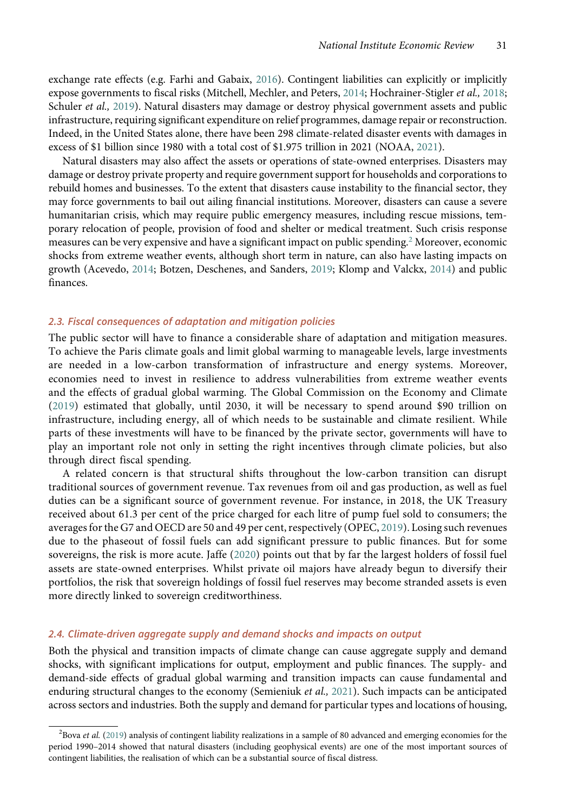exchange rate effects (e.g. Farhi and Gabaix, [2016](#page-17-0)). Contingent liabilities can explicitly or implicitly expose governments to fiscal risks (Mitchell, Mechler, and Peters, [2014](#page-18-0); Hochrainer-Stigler et al., [2018](#page-17-0); Schuler et al., [2019](#page-18-0)). Natural disasters may damage or destroy physical government assets and public infrastructure, requiring significant expenditure on relief programmes, damage repair or reconstruction. Indeed, in the United States alone, there have been 298 climate-related disaster events with damages in excess of \$1 billion since 1980 with a total cost of \$1.975 trillion in 2021 (NOAA, [2021](#page-18-0)).

Natural disasters may also affect the assets or operations of state-owned enterprises. Disasters may damage or destroy private property and require government support for households and corporations to rebuild homes and businesses. To the extent that disasters cause instability to the financial sector, they may force governments to bail out ailing financial institutions. Moreover, disasters can cause a severe humanitarian crisis, which may require public emergency measures, including rescue missions, temporary relocation of people, provision of food and shelter or medical treatment. Such crisis response measures can be very expensive and have a significant impact on public spending.<sup>2</sup> Moreover, economic shocks from extreme weather events, although short term in nature, can also have lasting impacts on growth (Acevedo, [2014;](#page-15-0) Botzen, Deschenes, and Sanders, [2019;](#page-16-0) Klomp and Valckx, [2014](#page-17-0)) and public finances.

## 2.3. Fiscal consequences of adaptation and mitigation policies

The public sector will have to finance a considerable share of adaptation and mitigation measures. To achieve the Paris climate goals and limit global warming to manageable levels, large investments are needed in a low-carbon transformation of infrastructure and energy systems. Moreover, economies need to invest in resilience to address vulnerabilities from extreme weather events and the effects of gradual global warming. The Global Commission on the Economy and Climate [\(2019](#page-17-0)) estimated that globally, until 2030, it will be necessary to spend around \$90 trillion on infrastructure, including energy, all of which needs to be sustainable and climate resilient. While parts of these investments will have to be financed by the private sector, governments will have to play an important role not only in setting the right incentives through climate policies, but also through direct fiscal spending.

A related concern is that structural shifts throughout the low-carbon transition can disrupt traditional sources of government revenue. Tax revenues from oil and gas production, as well as fuel duties can be a significant source of government revenue. For instance, in 2018, the UK Treasury received about 61.3 per cent of the price charged for each litre of pump fuel sold to consumers; the averages for the G7 and OECD are 50 and 49 per cent, respectively (OPEC, [2019\)](#page-18-0). Losing such revenues due to the phaseout of fossil fuels can add significant pressure to public finances. But for some sovereigns, the risk is more acute. Jaffe ([2020\)](#page-17-0) points out that by far the largest holders of fossil fuel assets are state-owned enterprises. Whilst private oil majors have already begun to diversify their portfolios, the risk that sovereign holdings of fossil fuel reserves may become stranded assets is even more directly linked to sovereign creditworthiness.

#### 2.4. Climate-driven aggregate supply and demand shocks and impacts on output

Both the physical and transition impacts of climate change can cause aggregate supply and demand shocks, with significant implications for output, employment and public finances. The supply- and demand-side effects of gradual global warming and transition impacts can cause fundamental and enduring structural changes to the economy (Semieniuk et al., [2021\)](#page-18-0). Such impacts can be anticipated across sectors and industries. Both the supply and demand for particular types and locations of housing,

<sup>&</sup>lt;sup>2</sup>Bova et al. [\(2019\)](#page-16-0) analysis of contingent liability realizations in a sample of 80 advanced and emerging economies for the period 1990–2014 showed that natural disasters (including geophysical events) are one of the most important sources of contingent liabilities, the realisation of which can be a substantial source of fiscal distress.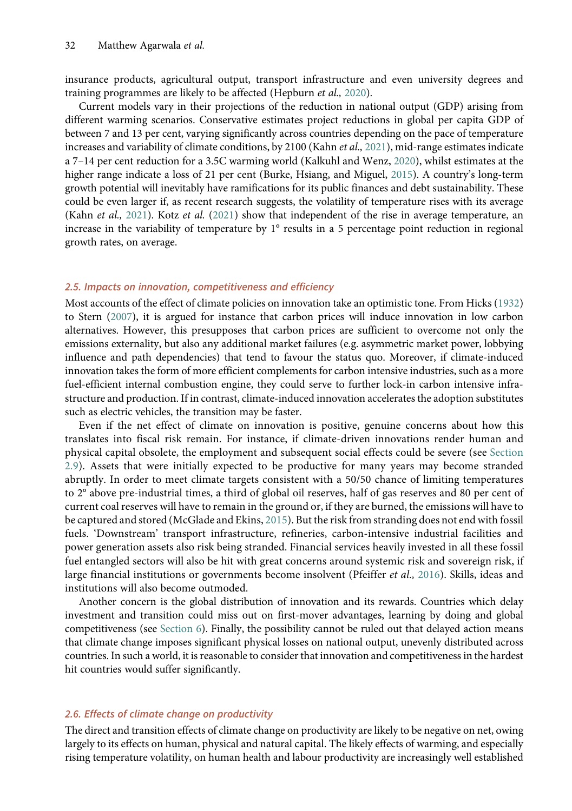insurance products, agricultural output, transport infrastructure and even university degrees and training programmes are likely to be affected (Hepburn et al., [2020\)](#page-17-0).

Current models vary in their projections of the reduction in national output (GDP) arising from different warming scenarios. Conservative estimates project reductions in global per capita GDP of between 7 and 13 per cent, varying significantly across countries depending on the pace of temperature increases and variability of climate conditions, by 2100 (Kahn et al., [2021](#page-17-0)), mid-range estimates indicate a 7–14 per cent reduction for a 3.5C warming world (Kalkuhl and Wenz, [2020](#page-17-0)), whilst estimates at the higher range indicate a loss of 21 per cent (Burke, Hsiang, and Miguel, [2015\)](#page-16-0). A country's long-term growth potential will inevitably have ramifications for its public finances and debt sustainability. These could be even larger if, as recent research suggests, the volatility of temperature rises with its average (Kahn et al., [2021](#page-17-0)). Kotz et al. [\(2021](#page-17-0)) show that independent of the rise in average temperature, an increase in the variability of temperature by 1° results in a 5 percentage point reduction in regional growth rates, on average.

#### 2.5. Impacts on innovation, competitiveness and efficiency

Most accounts of the effect of climate policies on innovation take an optimistic tone. From Hicks [\(1932](#page-17-0)) to Stern [\(2007](#page-18-0)), it is argued for instance that carbon prices will induce innovation in low carbon alternatives. However, this presupposes that carbon prices are sufficient to overcome not only the emissions externality, but also any additional market failures (e.g. asymmetric market power, lobbying influence and path dependencies) that tend to favour the status quo. Moreover, if climate-induced innovation takes the form of more efficient complements for carbon intensive industries, such as a more fuel-efficient internal combustion engine, they could serve to further lock-in carbon intensive infrastructure and production. If in contrast, climate-induced innovation accelerates the adoption substitutes such as electric vehicles, the transition may be faster.

Even if the net effect of climate on innovation is positive, genuine concerns about how this translates into fiscal risk remain. For instance, if climate-driven innovations render human and physical capital obsolete, the employment and subsequent social effects could be severe (see Section 2.9). Assets that were initially expected to be productive for many years may become stranded abruptly. In order to meet climate targets consistent with a 50/50 chance of limiting temperatures to 2° above pre-industrial times, a third of global oil reserves, half of gas reserves and 80 per cent of current coal reserves will have to remain in the ground or, if they are burned, the emissions will have to be captured and stored (McGlade and Ekins, [2015\)](#page-18-0). But the risk from stranding does not end with fossil fuels. 'Downstream' transport infrastructure, refineries, carbon-intensive industrial facilities and power generation assets also risk being stranded. Financial services heavily invested in all these fossil fuel entangled sectors will also be hit with great concerns around systemic risk and sovereign risk, if large financial institutions or governments become insolvent (Pfeiffer *et al.*, [2016\)](#page-18-0). Skills, ideas and institutions will also become outmoded.

Another concern is the global distribution of innovation and its rewards. Countries which delay investment and transition could miss out on first-mover advantages, learning by doing and global competitiveness (see Section 6). Finally, the possibility cannot be ruled out that delayed action means that climate change imposes significant physical losses on national output, unevenly distributed across countries. In such a world, it is reasonable to consider that innovation and competitiveness in the hardest hit countries would suffer significantly.

## 2.6. Effects of climate change on productivity

The direct and transition effects of climate change on productivity are likely to be negative on net, owing largely to its effects on human, physical and natural capital. The likely effects of warming, and especially rising temperature volatility, on human health and labour productivity are increasingly well established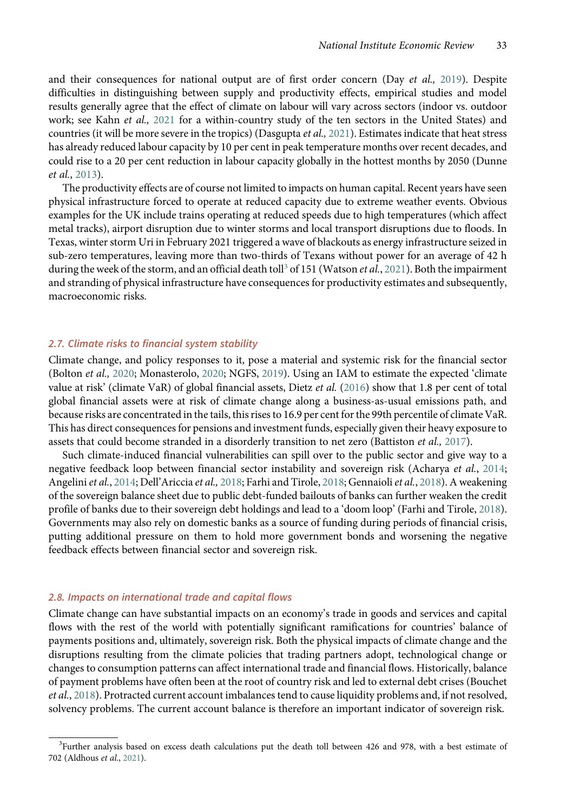and their consequences for national output are of first order concern (Day et al., [2019](#page-16-0)). Despite difficulties in distinguishing between supply and productivity effects, empirical studies and model results generally agree that the effect of climate on labour will vary across sectors (indoor vs. outdoor work; see Kahn et al., [2021](#page-17-0) for a within-country study of the ten sectors in the United States) and countries (it will be more severe in the tropics) (Dasgupta et al., [2021](#page-16-0)). Estimates indicate that heat stress has already reduced labour capacity by 10 per cent in peak temperature months over recent decades, and could rise to a 20 per cent reduction in labour capacity globally in the hottest months by 2050 (Dunne et al., [2013\)](#page-17-0).

The productivity effects are of course not limited to impacts on human capital. Recent years have seen physical infrastructure forced to operate at reduced capacity due to extreme weather events. Obvious examples for the UK include trains operating at reduced speeds due to high temperatures (which affect metal tracks), airport disruption due to winter storms and local transport disruptions due to floods. In Texas, winter storm Uri in February 2021 triggered a wave of blackouts as energy infrastructure seized in sub-zero temperatures, leaving more than two-thirds of Texans without power for an average of 42 h during the week of the storm, and an official death toll<sup>3</sup> of 151 (Watson *et al.*, [2021](#page-19-0)). Both the impairment and stranding of physical infrastructure have consequences for productivity estimates and subsequently, macroeconomic risks.

## 2.7. Climate risks to financial system stability

Climate change, and policy responses to it, pose a material and systemic risk for the financial sector (Bolton et al., [2020;](#page-16-0) Monasterolo, [2020;](#page-18-0) NGFS, [2019](#page-18-0)). Using an IAM to estimate the expected 'climate value at risk' (climate VaR) of global financial assets, Dietz et al. ([2016](#page-17-0)) show that 1.8 per cent of total global financial assets were at risk of climate change along a business-as-usual emissions path, and because risks are concentrated in the tails, this rises to 16.9 per cent for the 99th percentile of climate VaR. This has direct consequences for pensions and investment funds, especially given their heavy exposure to assets that could become stranded in a disorderly transition to net zero (Battiston et al., [2017](#page-16-0)).

Such climate-induced financial vulnerabilities can spill over to the public sector and give way to a negative feedback loop between financial sector instability and sovereign risk (Acharya et al., [2014](#page-15-0); Angelini et al., [2014;](#page-16-0) Dell'Ariccia et al., [2018;](#page-17-0) Farhi and Tirole, 2018; Gennaioli et al., [2018\)](#page-17-0). A weakening of the sovereign balance sheet due to public debt-funded bailouts of banks can further weaken the credit profile of banks due to their sovereign debt holdings and lead to a 'doom loop' (Farhi and Tirole, [2018\)](#page-17-0). Governments may also rely on domestic banks as a source of funding during periods of financial crisis, putting additional pressure on them to hold more government bonds and worsening the negative feedback effects between financial sector and sovereign risk.

#### 2.8. Impacts on international trade and capital flows

Climate change can have substantial impacts on an economy's trade in goods and services and capital flows with the rest of the world with potentially significant ramifications for countries' balance of payments positions and, ultimately, sovereign risk. Both the physical impacts of climate change and the disruptions resulting from the climate policies that trading partners adopt, technological change or changes to consumption patterns can affect international trade and financial flows. Historically, balance of payment problems have often been at the root of country risk and led to external debt crises (Bouchet et al., [2018](#page-16-0)). Protracted current account imbalances tend to cause liquidity problems and, if not resolved, solvency problems. The current account balance is therefore an important indicator of sovereign risk.

<sup>&</sup>lt;sup>3</sup>Further analysis based on excess death calculations put the death toll between 426 and 978, with a best estimate of 702 (Aldhous et al., [2021](#page-16-0)).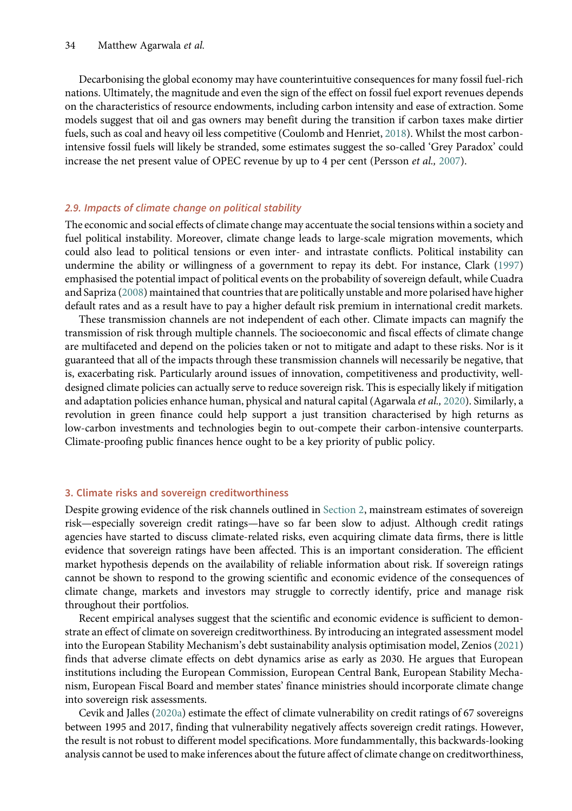Decarbonising the global economy may have counterintuitive consequences for many fossil fuel-rich nations. Ultimately, the magnitude and even the sign of the effect on fossil fuel export revenues depends on the characteristics of resource endowments, including carbon intensity and ease of extraction. Some models suggest that oil and gas owners may benefit during the transition if carbon taxes make dirtier fuels, such as coal and heavy oil less competitive (Coulomb and Henriet, [2018\)](#page-16-0). Whilst the most carbonintensive fossil fuels will likely be stranded, some estimates suggest the so-called 'Grey Paradox' could increase the net present value of OPEC revenue by up to 4 per cent (Persson et al., [2007](#page-18-0)).

## 2.9. Impacts of climate change on political stability

The economic and social effects of climate change may accentuate the social tensions within a society and fuel political instability. Moreover, climate change leads to large-scale migration movements, which could also lead to political tensions or even inter- and intrastate conflicts. Political instability can undermine the ability or willingness of a government to repay its debt. For instance, Clark [\(1997](#page-16-0)) emphasised the potential impact of political events on the probability of sovereign default, while Cuadra and Sapriza [\(2008\)](#page-16-0) maintained that countries that are politically unstable and more polarised have higher default rates and as a result have to pay a higher default risk premium in international credit markets.

These transmission channels are not independent of each other. Climate impacts can magnify the transmission of risk through multiple channels. The socioeconomic and fiscal effects of climate change are multifaceted and depend on the policies taken or not to mitigate and adapt to these risks. Nor is it guaranteed that all of the impacts through these transmission channels will necessarily be negative, that is, exacerbating risk. Particularly around issues of innovation, competitiveness and productivity, welldesigned climate policies can actually serve to reduce sovereign risk. This is especially likely if mitigation and adaptation policies enhance human, physical and natural capital (Agarwala *et al.*, [2020](#page-16-0)). Similarly, a revolution in green finance could help support a just transition characterised by high returns as low-carbon investments and technologies begin to out-compete their carbon-intensive counterparts. Climate-proofing public finances hence ought to be a key priority of public policy.

## 3. Climate risks and sovereign creditworthiness

Despite growing evidence of the risk channels outlined in Section 2, mainstream estimates of sovereign risk—especially sovereign credit ratings—have so far been slow to adjust. Although credit ratings agencies have started to discuss climate-related risks, even acquiring climate data firms, there is little evidence that sovereign ratings have been affected. This is an important consideration. The efficient market hypothesis depends on the availability of reliable information about risk. If sovereign ratings cannot be shown to respond to the growing scientific and economic evidence of the consequences of climate change, markets and investors may struggle to correctly identify, price and manage risk throughout their portfolios.

Recent empirical analyses suggest that the scientific and economic evidence is sufficient to demonstrate an effect of climate on sovereign creditworthiness. By introducing an integrated assessment model into the European Stability Mechanism's debt sustainability analysis optimisation model, Zenios [\(2021](#page-19-0)) finds that adverse climate effects on debt dynamics arise as early as 2030. He argues that European institutions including the European Commission, European Central Bank, European Stability Mechanism, European Fiscal Board and member states' finance ministries should incorporate climate change into sovereign risk assessments.

Cevik and Jalles [\(2020a](#page-16-0)) estimate the effect of climate vulnerability on credit ratings of 67 sovereigns between 1995 and 2017, finding that vulnerability negatively affects sovereign credit ratings. However, the result is not robust to different model specifications. More fundammentally, this backwards-looking analysis cannot be used to make inferences about the future affect of climate change on creditworthiness,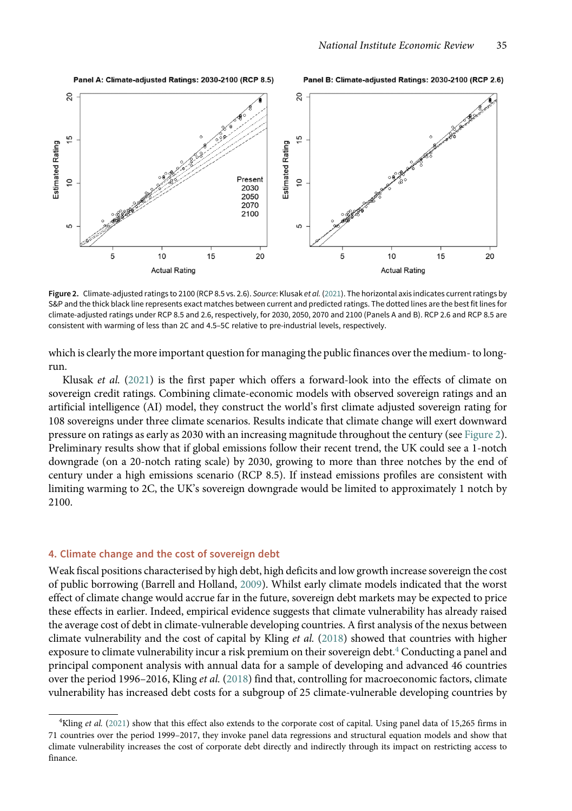#### Panel B: Climate-adjusted Ratings: 2030-2100 (RCP 2.6)



Figure 2. Climate-adjusted ratings to 2100 (RCP 8.5 vs. 2.6). Source: Klusak et al. ([2021](#page-17-0)). The horizontal axis indicates current ratings by S&P and the thick black line represents exact matches between current and predicted ratings. The dotted lines are the best fit lines for climate-adjusted ratings under RCP 8.5 and 2.6, respectively, for 2030, 2050, 2070 and 2100 (Panels A and B). RCP 2.6 and RCP 8.5 are consistent with warming of less than 2C and 4.5–5C relative to pre-industrial levels, respectively.

which is clearly the more important question for managing the public finances over the medium- to longrun.

Klusak et al. ([2021](#page-17-0)) is the first paper which offers a forward-look into the effects of climate on sovereign credit ratings. Combining climate-economic models with observed sovereign ratings and an artificial intelligence (AI) model, they construct the world's first climate adjusted sovereign rating for 108 sovereigns under three climate scenarios. Results indicate that climate change will exert downward pressure on ratings as early as 2030 with an increasing magnitude throughout the century (see Figure 2). Preliminary results show that if global emissions follow their recent trend, the UK could see a 1-notch downgrade (on a 20-notch rating scale) by 2030, growing to more than three notches by the end of century under a high emissions scenario (RCP 8.5). If instead emissions profiles are consistent with limiting warming to 2C, the UK's sovereign downgrade would be limited to approximately 1 notch by 2100.

#### 4. Climate change and the cost of sovereign debt

Panel A: Climate-adjusted Ratings: 2030-2100 (RCP 8.5)

Weak fiscal positions characterised by high debt, high deficits and low growth increase sovereign the cost of public borrowing (Barrell and Holland, [2009\)](#page-16-0). Whilst early climate models indicated that the worst effect of climate change would accrue far in the future, sovereign debt markets may be expected to price these effects in earlier. Indeed, empirical evidence suggests that climate vulnerability has already raised the average cost of debt in climate-vulnerable developing countries. A first analysis of the nexus between climate vulnerability and the cost of capital by Kling et al. ([2018](#page-17-0)) showed that countries with higher exposure to climate vulnerability incur a risk premium on their sovereign debt.<sup>4</sup> Conducting a panel and principal component analysis with annual data for a sample of developing and advanced 46 countries over the period 1996–2016, Kling et al. [\(2018](#page-17-0)) find that, controlling for macroeconomic factors, climate vulnerability has increased debt costs for a subgroup of 25 climate-vulnerable developing countries by

<sup>&</sup>lt;sup>4</sup>Kling et al. ([2021](#page-17-0)) show that this effect also extends to the corporate cost of capital. Using panel data of 15,265 firms in 71 countries over the period 1999–2017, they invoke panel data regressions and structural equation models and show that climate vulnerability increases the cost of corporate debt directly and indirectly through its impact on restricting access to finance.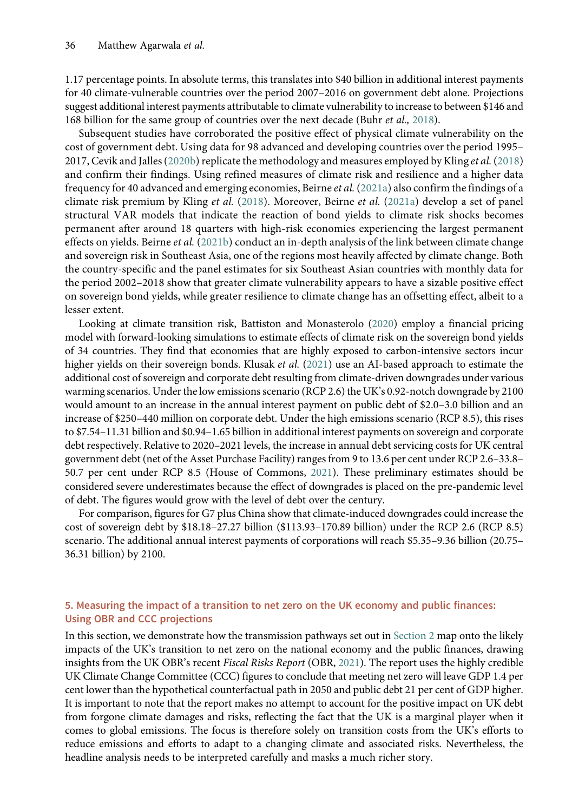1.17 percentage points. In absolute terms, this translates into \$40 billion in additional interest payments for 40 climate-vulnerable countries over the period 2007–2016 on government debt alone. Projections suggest additional interest payments attributable to climate vulnerability to increase to between \$146 and 168 billion for the same group of countries over the next decade (Buhr et al., [2018](#page-16-0)).

Subsequent studies have corroborated the positive effect of physical climate vulnerability on the cost of government debt. Using data for 98 advanced and developing countries over the period 1995– 2017, Cevik and Jalles ([2020b\)](#page-16-0) replicate the methodology and measures employed by Kling et al. ([2018](#page-17-0)) and confirm their findings. Using refined measures of climate risk and resilience and a higher data frequency for 40 advanced and emerging economies, Beirne et al. [\(2021a](#page-16-0)) also confirm the findings of a climate risk premium by Kling et al. [\(2018](#page-17-0)). Moreover, Beirne et al. ([2021a\)](#page-16-0) develop a set of panel structural VAR models that indicate the reaction of bond yields to climate risk shocks becomes permanent after around 18 quarters with high-risk economies experiencing the largest permanent effects on yields. Beirne et al. [\(2021b](#page-16-0)) conduct an in-depth analysis of the link between climate change and sovereign risk in Southeast Asia, one of the regions most heavily affected by climate change. Both the country-specific and the panel estimates for six Southeast Asian countries with monthly data for the period 2002–2018 show that greater climate vulnerability appears to have a sizable positive effect on sovereign bond yields, while greater resilience to climate change has an offsetting effect, albeit to a lesser extent.

Looking at climate transition risk, Battiston and Monasterolo ([2020](#page-16-0)) employ a financial pricing model with forward-looking simulations to estimate effects of climate risk on the sovereign bond yields of 34 countries. They find that economies that are highly exposed to carbon-intensive sectors incur higher yields on their sovereign bonds. Klusak et al. ([2021](#page-17-0)) use an AI-based approach to estimate the additional cost of sovereign and corporate debt resulting from climate-driven downgrades under various warming scenarios. Under the low emissions scenario (RCP 2.6) the UK's 0.92-notch downgrade by 2100 would amount to an increase in the annual interest payment on public debt of \$2.0–3.0 billion and an increase of \$250–440 million on corporate debt. Under the high emissions scenario (RCP 8.5), this rises to \$7.54–11.31 billion and \$0.94–1.65 billion in additional interest payments on sovereign and corporate debt respectively. Relative to 2020–2021 levels, the increase in annual debt servicing costs for UK central government debt (net of the Asset Purchase Facility) ranges from 9 to 13.6 per cent under RCP 2.6–33.8– 50.7 per cent under RCP 8.5 (House of Commons, [2021\)](#page-17-0). These preliminary estimates should be considered severe underestimates because the effect of downgrades is placed on the pre-pandemic level of debt. The figures would grow with the level of debt over the century.

For comparison, figures for G7 plus China show that climate-induced downgrades could increase the cost of sovereign debt by \$18.18–27.27 billion (\$113.93–170.89 billion) under the RCP 2.6 (RCP 8.5) scenario. The additional annual interest payments of corporations will reach \$5.35–9.36 billion (20.75– 36.31 billion) by 2100.

## 5. Measuring the impact of a transition to net zero on the UK economy and public finances: Using OBR and CCC projections

In this section, we demonstrate how the transmission pathways set out in Section 2 map onto the likely impacts of the UK's transition to net zero on the national economy and the public finances, drawing insights from the UK OBR's recent Fiscal Risks Report (OBR, [2021](#page-18-0)). The report uses the highly credible UK Climate Change Committee (CCC) figures to conclude that meeting net zero will leave GDP 1.4 per cent lower than the hypothetical counterfactual path in 2050 and public debt 21 per cent of GDP higher. It is important to note that the report makes no attempt to account for the positive impact on UK debt from forgone climate damages and risks, reflecting the fact that the UK is a marginal player when it comes to global emissions. The focus is therefore solely on transition costs from the UK's efforts to reduce emissions and efforts to adapt to a changing climate and associated risks. Nevertheless, the headline analysis needs to be interpreted carefully and masks a much richer story.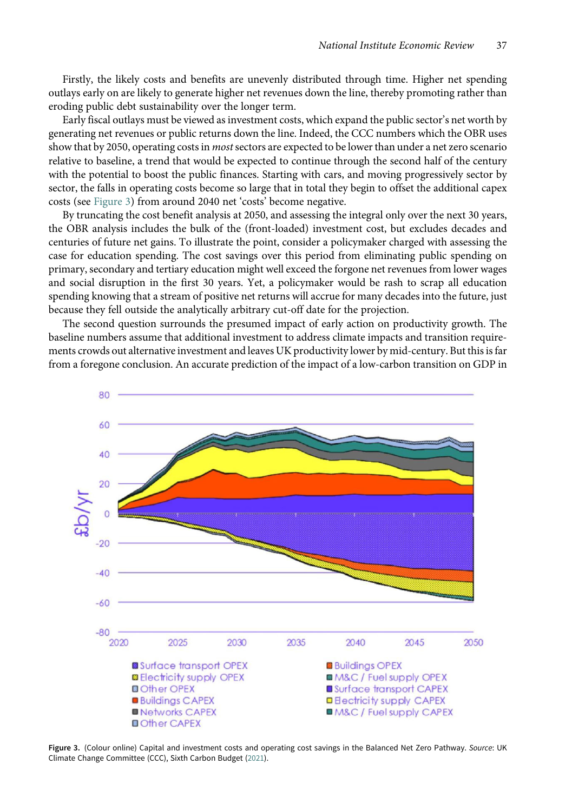Firstly, the likely costs and benefits are unevenly distributed through time. Higher net spending outlays early on are likely to generate higher net revenues down the line, thereby promoting rather than eroding public debt sustainability over the longer term.

Early fiscal outlays must be viewed as investment costs, which expand the public sector's net worth by generating net revenues or public returns down the line. Indeed, the CCC numbers which the OBR uses show that by 2050, operating costs in *most* sectors are expected to be lower than under a net zero scenario relative to baseline, a trend that would be expected to continue through the second half of the century with the potential to boost the public finances. Starting with cars, and moving progressively sector by sector, the falls in operating costs become so large that in total they begin to offset the additional capex costs (see Figure 3) from around 2040 net 'costs' become negative.

By truncating the cost benefit analysis at 2050, and assessing the integral only over the next 30 years, the OBR analysis includes the bulk of the (front-loaded) investment cost, but excludes decades and centuries of future net gains. To illustrate the point, consider a policymaker charged with assessing the case for education spending. The cost savings over this period from eliminating public spending on primary, secondary and tertiary education might well exceed the forgone net revenues from lower wages and social disruption in the first 30 years. Yet, a policymaker would be rash to scrap all education spending knowing that a stream of positive net returns will accrue for many decades into the future, just because they fell outside the analytically arbitrary cut-off date for the projection.

The second question surrounds the presumed impact of early action on productivity growth. The baseline numbers assume that additional investment to address climate impacts and transition requirements crowds out alternative investment and leaves UK productivity lower by mid-century. But this is far from a foregone conclusion. An accurate prediction of the impact of a low-carbon transition on GDP in



Figure 3. (Colour online) Capital and investment costs and operating cost savings in the Balanced Net Zero Pathway. Source: UK Climate Change Committee (CCC), Sixth Carbon Budget ([2021\)](#page-18-0).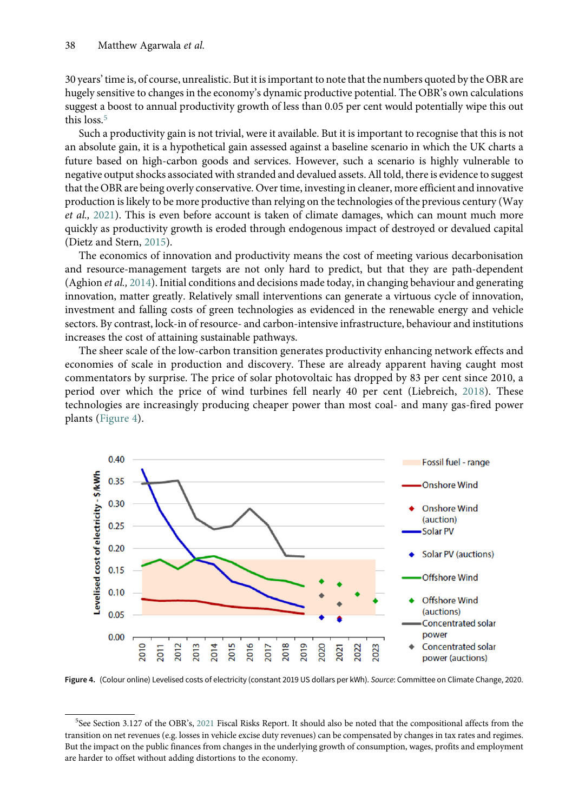<span id="page-11-0"></span>30 years' time is, of course, unrealistic. But it is important to note that the numbers quoted by the OBR are hugely sensitive to changes in the economy's dynamic productive potential. The OBR's own calculations suggest a boost to annual productivity growth of less than 0.05 per cent would potentially wipe this out this loss.<sup>5</sup>

Such a productivity gain is not trivial, were it available. But it is important to recognise that this is not an absolute gain, it is a hypothetical gain assessed against a baseline scenario in which the UK charts a future based on high-carbon goods and services. However, such a scenario is highly vulnerable to negative output shocks associated with stranded and devalued assets. All told, there is evidence to suggest that the OBR are being overly conservative. Over time, investing in cleaner, more efficient and innovative production is likely to be more productive than relying on the technologies of the previous century (Way et al., [2021](#page-19-0)). This is even before account is taken of climate damages, which can mount much more quickly as productivity growth is eroded through endogenous impact of destroyed or devalued capital (Dietz and Stern, [2015](#page-17-0)).

The economics of innovation and productivity means the cost of meeting various decarbonisation and resource-management targets are not only hard to predict, but that they are path-dependent (Aghion et al., [2014](#page-16-0)). Initial conditions and decisions made today, in changing behaviour and generating innovation, matter greatly. Relatively small interventions can generate a virtuous cycle of innovation, investment and falling costs of green technologies as evidenced in the renewable energy and vehicle sectors. By contrast, lock-in of resource- and carbon-intensive infrastructure, behaviour and institutions increases the cost of attaining sustainable pathways.

The sheer scale of the low-carbon transition generates productivity enhancing network effects and economies of scale in production and discovery. These are already apparent having caught most commentators by surprise. The price of solar photovoltaic has dropped by 83 per cent since 2010, a period over which the price of wind turbines fell nearly 40 per cent (Liebreich, [2018\)](#page-18-0). These technologies are increasingly producing cheaper power than most coal- and many gas-fired power plants (Figure 4).



Figure 4. (Colour online) Levelised costs of electricity (constant 2019 US dollars per kWh). Source: Committee on Climate Change, 2020.

<sup>5</sup> See Section 3.127 of the OBR's, [2021](#page-18-0) Fiscal Risks Report. It should also be noted that the compositional affects from the transition on net revenues (e.g. losses in vehicle excise duty revenues) can be compensated by changes in tax rates and regimes. But the impact on the public finances from changes in the underlying growth of consumption, wages, profits and employment are harder to offset without adding distortions to the economy.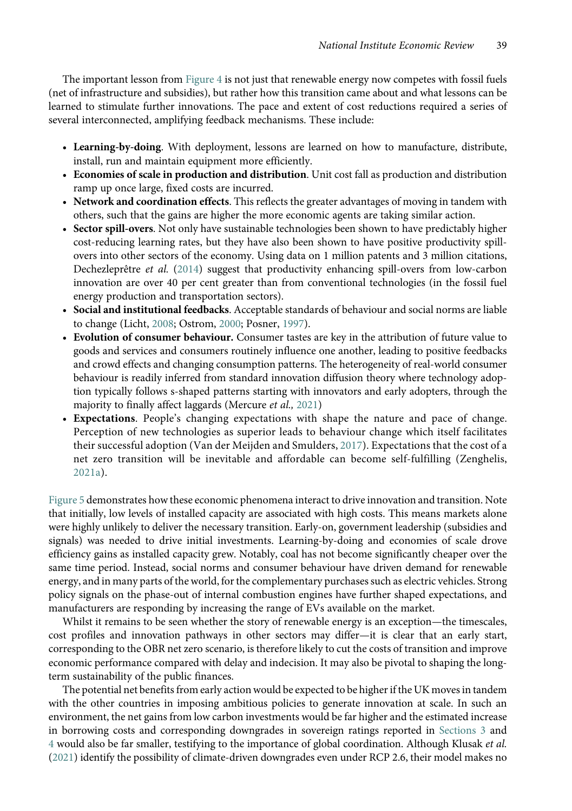The important lesson from [Figure 4](#page-11-0) is not just that renewable energy now competes with fossil fuels (net of infrastructure and subsidies), but rather how this transition came about and what lessons can be learned to stimulate further innovations. The pace and extent of cost reductions required a series of several interconnected, amplifying feedback mechanisms. These include:

- Learning-by-doing. With deployment, lessons are learned on how to manufacture, distribute, install, run and maintain equipment more efficiently.
- Economies of scale in production and distribution. Unit cost fall as production and distribution ramp up once large, fixed costs are incurred.
- Network and coordination effects. This reflects the greater advantages of moving in tandem with others, such that the gains are higher the more economic agents are taking similar action.
- Sector spill-overs. Not only have sustainable technologies been shown to have predictably higher cost-reducing learning rates, but they have also been shown to have positive productivity spillovers into other sectors of the economy. Using data on 1 million patents and 3 million citations, Dechezleprêtre et al. ([2014](#page-16-0)) suggest that productivity enhancing spill-overs from low-carbon innovation are over 40 per cent greater than from conventional technologies (in the fossil fuel energy production and transportation sectors).
- Social and institutional feedbacks. Acceptable standards of behaviour and social norms are liable to change (Licht, [2008;](#page-17-0) Ostrom, [2000;](#page-18-0) Posner, [1997](#page-18-0)).
- Evolution of consumer behaviour. Consumer tastes are key in the attribution of future value to goods and services and consumers routinely influence one another, leading to positive feedbacks and crowd effects and changing consumption patterns. The heterogeneity of real-world consumer behaviour is readily inferred from standard innovation diffusion theory where technology adoption typically follows s-shaped patterns starting with innovators and early adopters, through the majority to finally affect laggards (Mercure et al., [2021](#page-18-0))
- Expectations. People's changing expectations with shape the nature and pace of change. Perception of new technologies as superior leads to behaviour change which itself facilitates their successful adoption (Van der Meijden and Smulders, [2017\)](#page-18-0). Expectations that the cost of a net zero transition will be inevitable and affordable can become self-fulfilling (Zenghelis, [2021a\)](#page-19-0).

[Figure 5](#page-13-0) demonstrates how these economic phenomena interact to drive innovation and transition. Note that initially, low levels of installed capacity are associated with high costs. This means markets alone were highly unlikely to deliver the necessary transition. Early-on, government leadership (subsidies and signals) was needed to drive initial investments. Learning-by-doing and economies of scale drove efficiency gains as installed capacity grew. Notably, coal has not become significantly cheaper over the same time period. Instead, social norms and consumer behaviour have driven demand for renewable energy, and in many parts of the world, for the complementary purchases such as electric vehicles. Strong policy signals on the phase-out of internal combustion engines have further shaped expectations, and manufacturers are responding by increasing the range of EVs available on the market.

Whilst it remains to be seen whether the story of renewable energy is an exception—the timescales, cost profiles and innovation pathways in other sectors may differ—it is clear that an early start, corresponding to the OBR net zero scenario, is therefore likely to cut the costs of transition and improve economic performance compared with delay and indecision. It may also be pivotal to shaping the longterm sustainability of the public finances.

The potential net benefits from early action would be expected to be higher if the UK moves in tandem with the other countries in imposing ambitious policies to generate innovation at scale. In such an environment, the net gains from low carbon investments would be far higher and the estimated increase in borrowing costs and corresponding downgrades in sovereign ratings reported in Sections 3 and 4 would also be far smaller, testifying to the importance of global coordination. Although Klusak et al. [\(2021\)](#page-17-0) identify the possibility of climate-driven downgrades even under RCP 2.6, their model makes no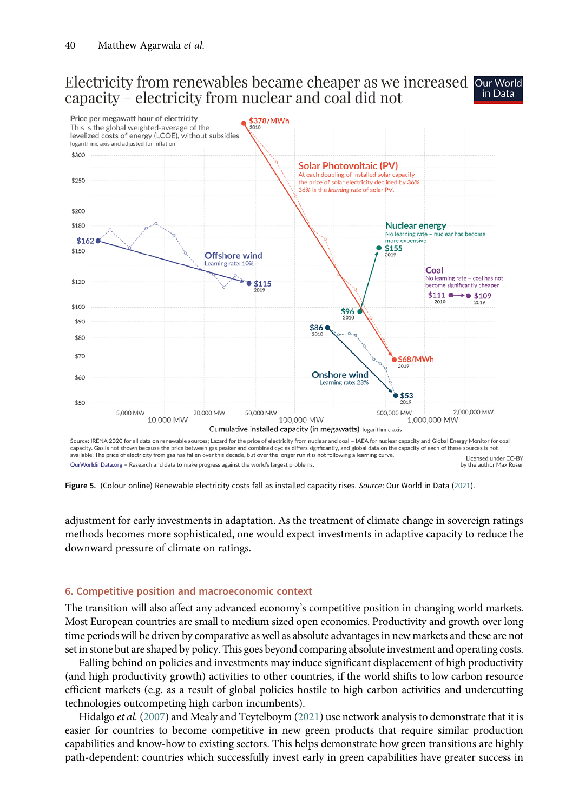#### <span id="page-13-0"></span>Electricity from renewables became cheaper as we increased our World in Data capacity – electricity from nuclear and coal did not



capacity. Gas is not shown because the price between gas peaker and combined cycles differs signficantly, and global data on the capacity of each of these sources is not available. The price of electricity from gas has fallen over this decade, but over the longer run it is not following a learning curve. Licensed under CC-BY OurWorldinData.org - Research and data to make progress against the world's largest problems by the author Max Rose

Figure 5. (Colour online) Renewable electricity costs fall as installed capacity rises. Source: Our World in Data ([2021\)](#page-18-0).

adjustment for early investments in adaptation. As the treatment of climate change in sovereign ratings methods becomes more sophisticated, one would expect investments in adaptive capacity to reduce the downward pressure of climate on ratings.

## 6. Competitive position and macroeconomic context

The transition will also affect any advanced economy's competitive position in changing world markets. Most European countries are small to medium sized open economies. Productivity and growth over long time periods will be driven by comparative as well as absolute advantages in new markets and these are not set in stone but are shaped by policy. This goes beyond comparing absolute investment and operating costs.

Falling behind on policies and investments may induce significant displacement of high productivity (and high productivity growth) activities to other countries, if the world shifts to low carbon resource efficient markets (e.g. as a result of global policies hostile to high carbon activities and undercutting technologies outcompeting high carbon incumbents).

Hidalgo *et al.* ([2007](#page-17-0)) and Mealy and Teytelboym [\(2021\)](#page-18-0) use network analysis to demonstrate that it is easier for countries to become competitive in new green products that require similar production capabilities and know-how to existing sectors. This helps demonstrate how green transitions are highly path-dependent: countries which successfully invest early in green capabilities have greater success in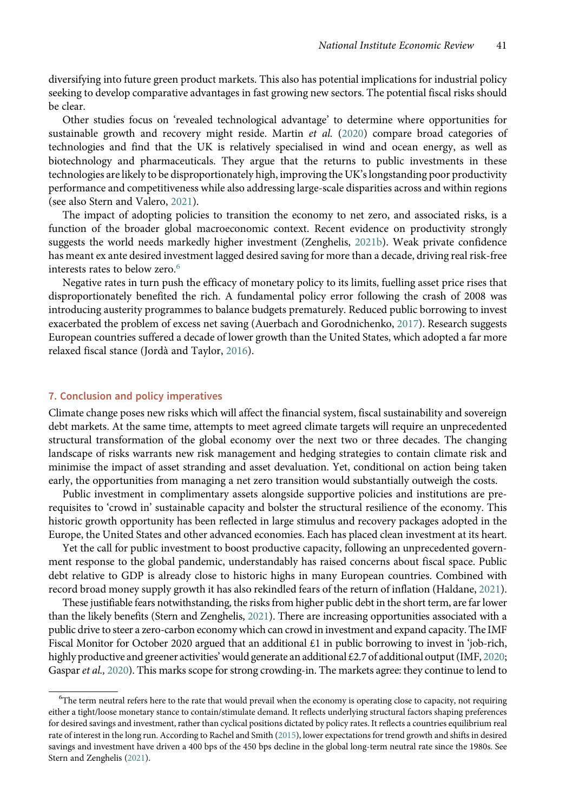diversifying into future green product markets. This also has potential implications for industrial policy seeking to develop comparative advantages in fast growing new sectors. The potential fiscal risks should be clear.

Other studies focus on 'revealed technological advantage' to determine where opportunities for sustainable growth and recovery might reside. Martin et al.  $(2020)$  $(2020)$  compare broad categories of technologies and find that the UK is relatively specialised in wind and ocean energy, as well as biotechnology and pharmaceuticals. They argue that the returns to public investments in these technologies are likely to be disproportionately high, improving the UK's longstanding poor productivity performance and competitiveness while also addressing large-scale disparities across and within regions (see also Stern and Valero, [2021](#page-18-0)).

The impact of adopting policies to transition the economy to net zero, and associated risks, is a function of the broader global macroeconomic context. Recent evidence on productivity strongly suggests the world needs markedly higher investment (Zenghelis, [2021b\)](#page-19-0). Weak private confidence has meant ex ante desired investment lagged desired saving for more than a decade, driving real risk-free interests rates to below zero.<sup>6</sup>

Negative rates in turn push the efficacy of monetary policy to its limits, fuelling asset price rises that disproportionately benefited the rich. A fundamental policy error following the crash of 2008 was introducing austerity programmes to balance budgets prematurely. Reduced public borrowing to invest exacerbated the problem of excess net saving (Auerbach and Gorodnichenko, [2017](#page-16-0)). Research suggests European countries suffered a decade of lower growth than the United States, which adopted a far more relaxed fiscal stance (Jordà and Taylor, [2016\)](#page-17-0).

## 7. Conclusion and policy imperatives

Climate change poses new risks which will affect the financial system, fiscal sustainability and sovereign debt markets. At the same time, attempts to meet agreed climate targets will require an unprecedented structural transformation of the global economy over the next two or three decades. The changing landscape of risks warrants new risk management and hedging strategies to contain climate risk and minimise the impact of asset stranding and asset devaluation. Yet, conditional on action being taken early, the opportunities from managing a net zero transition would substantially outweigh the costs.

Public investment in complimentary assets alongside supportive policies and institutions are prerequisites to 'crowd in' sustainable capacity and bolster the structural resilience of the economy. This historic growth opportunity has been reflected in large stimulus and recovery packages adopted in the Europe, the United States and other advanced economies. Each has placed clean investment at its heart.

Yet the call for public investment to boost productive capacity, following an unprecedented government response to the global pandemic, understandably has raised concerns about fiscal space. Public debt relative to GDP is already close to historic highs in many European countries. Combined with record broad money supply growth it has also rekindled fears of the return of inflation (Haldane, [2021\)](#page-17-0).

These justifiable fears notwithstanding, the risks from higher public debt in the short term, are far lower than the likely benefits (Stern and Zenghelis, [2021\)](#page-18-0). There are increasing opportunities associated with a public drive to steer a zero-carbon economy which can crowd in investment and expand capacity. The IMF Fiscal Monitor for October 2020 argued that an additional £1 in public borrowing to invest in 'job-rich, highly productive and greener activities' would generate an additional £2.7 of additional output (IMF, [2020](#page-17-0); Gaspar et al., [2020\)](#page-17-0). This marks scope for strong crowding-in. The markets agree: they continue to lend to

<sup>6</sup> The term neutral refers here to the rate that would prevail when the economy is operating close to capacity, not requiring either a tight/loose monetary stance to contain/stimulate demand. It reflects underlying structural factors shaping preferences for desired savings and investment, rather than cyclical positions dictated by policy rates. It reflects a countries equilibrium real rate of interest in the long run. According to Rachel and Smith ([2015](#page-18-0)), lower expectations for trend growth and shifts in desired savings and investment have driven a 400 bps of the 450 bps decline in the global long-term neutral rate since the 1980s. See Stern and Zenghelis ([2021](#page-18-0)).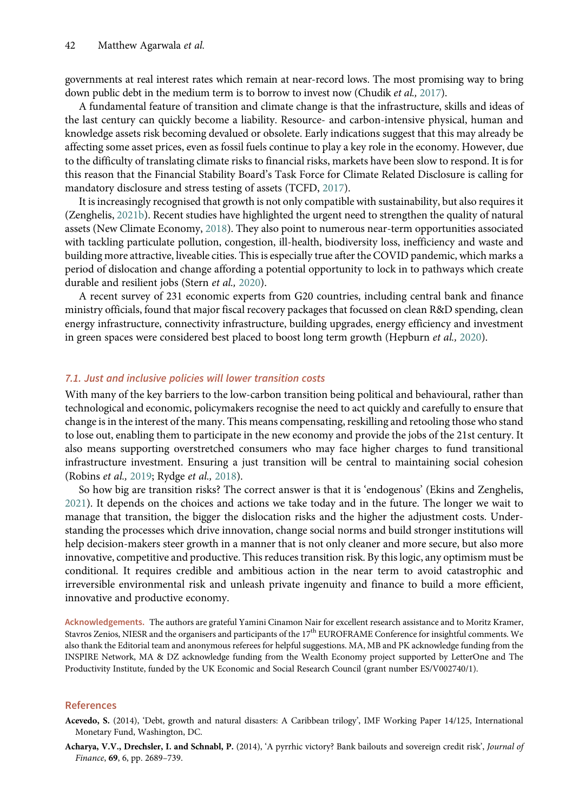<span id="page-15-0"></span>governments at real interest rates which remain at near-record lows. The most promising way to bring down public debt in the medium term is to borrow to invest now (Chudik et al., [2017](#page-16-0)).

A fundamental feature of transition and climate change is that the infrastructure, skills and ideas of the last century can quickly become a liability. Resource- and carbon-intensive physical, human and knowledge assets risk becoming devalued or obsolete. Early indications suggest that this may already be affecting some asset prices, even as fossil fuels continue to play a key role in the economy. However, due to the difficulty of translating climate risks to financial risks, markets have been slow to respond. It is for this reason that the Financial Stability Board's Task Force for Climate Related Disclosure is calling for mandatory disclosure and stress testing of assets (TCFD, [2017\)](#page-18-0).

It is increasingly recognised that growth is not only compatible with sustainability, but also requires it (Zenghelis, [2021b](#page-19-0)). Recent studies have highlighted the urgent need to strengthen the quality of natural assets (New Climate Economy, [2018\)](#page-18-0). They also point to numerous near-term opportunities associated with tackling particulate pollution, congestion, ill-health, biodiversity loss, inefficiency and waste and building more attractive, liveable cities. This is especially true after the COVID pandemic, which marks a period of dislocation and change affording a potential opportunity to lock in to pathways which create durable and resilient jobs (Stern et al., [2020\)](#page-18-0).

A recent survey of 231 economic experts from G20 countries, including central bank and finance ministry officials, found that major fiscal recovery packages that focussed on clean R&D spending, clean energy infrastructure, connectivity infrastructure, building upgrades, energy efficiency and investment in green spaces were considered best placed to boost long term growth (Hepburn et al., [2020](#page-17-0)).

## 7.1. Just and inclusive policies will lower transition costs

With many of the key barriers to the low-carbon transition being political and behavioural, rather than technological and economic, policymakers recognise the need to act quickly and carefully to ensure that change is in the interest of the many. This means compensating, reskilling and retooling those who stand to lose out, enabling them to participate in the new economy and provide the jobs of the 21st century. It also means supporting overstretched consumers who may face higher charges to fund transitional infrastructure investment. Ensuring a just transition will be central to maintaining social cohesion (Robins et al., [2019;](#page-18-0) Rydge et al., [2018\)](#page-18-0).

So how big are transition risks? The correct answer is that it is 'endogenous' (Ekins and Zenghelis, [2021\)](#page-17-0). It depends on the choices and actions we take today and in the future. The longer we wait to manage that transition, the bigger the dislocation risks and the higher the adjustment costs. Understanding the processes which drive innovation, change social norms and build stronger institutions will help decision-makers steer growth in a manner that is not only cleaner and more secure, but also more innovative, competitive and productive. This reduces transition risk. By this logic, any optimism must be conditional. It requires credible and ambitious action in the near term to avoid catastrophic and irreversible environmental risk and unleash private ingenuity and finance to build a more efficient, innovative and productive economy.

Acknowledgements. The authors are grateful Yamini Cinamon Nair for excellent research assistance and to Moritz Kramer, Stavros Zenios, NIESR and the organisers and participants of the 17<sup>th</sup> EUROFRAME Conference for insightful comments. We also thank the Editorial team and anonymous referees for helpful suggestions. MA, MB and PK acknowledge funding from the INSPIRE Network, MA & DZ acknowledge funding from the Wealth Economy project supported by LetterOne and The Productivity Institute, funded by the UK Economic and Social Research Council (grant number ES/V002740/1).

#### References

Acharya, V.V., Drechsler, I. and Schnabl, P. (2014), 'A pyrrhic victory? Bank bailouts and sovereign credit risk', Journal of Finance, 69, 6, pp. 2689–739.

Acevedo, S. (2014), 'Debt, growth and natural disasters: A Caribbean trilogy', IMF Working Paper 14/125, International Monetary Fund, Washington, DC.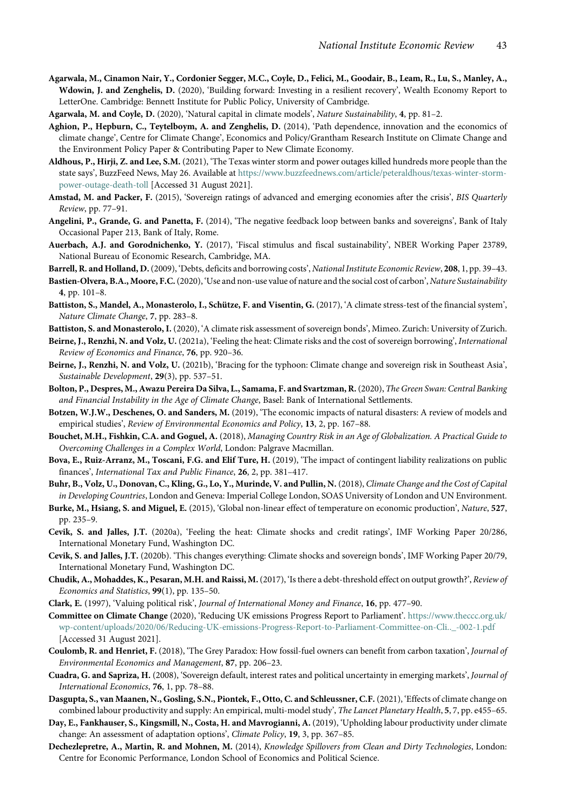- <span id="page-16-0"></span>Agarwala, M., Cinamon Nair, Y., Cordonier Segger, M.C., Coyle, D., Felici, M., Goodair, B., Leam, R., Lu, S., Manley, A., Wdowin, J. and Zenghelis, D. (2020), 'Building forward: Investing in a resilient recovery', Wealth Economy Report to LetterOne. Cambridge: Bennett Institute for Public Policy, University of Cambridge.
- Agarwala, M. and Coyle, D. (2020), 'Natural capital in climate models', Nature Sustainability, 4, pp. 81-2.
- Aghion, P., Hepburn, C., Teytelboym, A. and Zenghelis, D. (2014), 'Path dependence, innovation and the economics of climate change', Centre for Climate Change', Economics and Policy/Grantham Research Institute on Climate Change and the Environment Policy Paper & Contributing Paper to New Climate Economy.
- Aldhous, P., Hirji, Z. and Lee, S.M. (2021), 'The Texas winter storm and power outages killed hundreds more people than the state says', BuzzFeed News, May 26. Available at [https://www.buzzfeednews.com/article/peteraldhous/texas-winter-storm](https://www.buzzfeednews.com/article/peteraldhous/texas-winter-storm-power-outage-death-toll)[power-outage-death-toll](https://www.buzzfeednews.com/article/peteraldhous/texas-winter-storm-power-outage-death-toll) [Accessed 31 August 2021].
- Amstad, M. and Packer, F. (2015), 'Sovereign ratings of advanced and emerging economies after the crisis', BIS Quarterly Review, pp. 77–91.
- Angelini, P., Grande, G. and Panetta, F. (2014), 'The negative feedback loop between banks and sovereigns', Bank of Italy Occasional Paper 213, Bank of Italy, Rome.
- Auerbach, A.J. and Gorodnichenko, Y. (2017), 'Fiscal stimulus and fiscal sustainability', NBER Working Paper 23789, National Bureau of Economic Research, Cambridge, MA.
- Barrell, R. and Holland, D. (2009), 'Debts, deficits and borrowing costs', National Institute Economic Review, 208, 1, pp. 39-43.
- Bastien-Olvera, B.A., Moore, F.C. (2020), 'Use and non-use value of nature and the social cost of carbon', Nature Sustainability 4, pp. 101–8.
- Battiston, S., Mandel, A., Monasterolo, I., Schütze, F. and Visentin, G. (2017), 'A climate stress-test of the financial system', Nature Climate Change, 7, pp. 283–8.
- Battiston, S. and Monasterolo, I. (2020), 'A climate risk assessment of sovereign bonds', Mimeo. Zurich: University of Zurich.
- Beirne, J., Renzhi, N. and Volz, U. (2021a), 'Feeling the heat: Climate risks and the cost of sovereign borrowing', International Review of Economics and Finance, 76, pp. 920–36.
- Beirne, J., Renzhi, N. and Volz, U. (2021b), 'Bracing for the typhoon: Climate change and sovereign risk in Southeast Asia', Sustainable Development, 29(3), pp. 537-51.
- Bolton, P., Despres, M., Awazu Pereira Da Silva, L., Samama, F. and Svartzman, R.(2020), The Green Swan: Central Banking and Financial Instability in the Age of Climate Change, Basel: Bank of International Settlements.
- Botzen, W.J.W., Deschenes, O. and Sanders, M. (2019), 'The economic impacts of natural disasters: A review of models and empirical studies', Review of Environmental Economics and Policy, 13, 2, pp. 167-88.
- Bouchet, M.H., Fishkin, C.A. and Goguel, A. (2018), Managing Country Risk in an Age of Globalization. A Practical Guide to Overcoming Challenges in a Complex World, London: Palgrave Macmillan.
- Bova, E., Ruiz-Arranz, M., Toscani, F.G. and Elif Ture, H. (2019), 'The impact of contingent liability realizations on public finances', International Tax and Public Finance, 26, 2, pp. 381–417.
- Buhr, B., Volz, U., Donovan, C., Kling, G., Lo, Y., Murinde, V. and Pullin, N. (2018), Climate Change and the Cost of Capital in Developing Countries, London and Geneva: Imperial College London, SOAS University of London and UN Environment.
- Burke, M., Hsiang, S. and Miguel, E. (2015), 'Global non-linear effect of temperature on economic production', Nature, 527, pp. 235–9.
- Cevik, S. and Jalles, J.T. (2020a), 'Feeling the heat: Climate shocks and credit ratings', IMF Working Paper 20/286, International Monetary Fund, Washington DC.
- Cevik, S. and Jalles, J.T. (2020b). 'This changes everything: Climate shocks and sovereign bonds', IMF Working Paper 20/79, International Monetary Fund, Washington DC.
- Chudik, A., Mohaddes, K., Pesaran, M.H. and Raissi, M.(2017), 'Is there a debt-threshold effect on output growth?', Review of Economics and Statistics,  $99(1)$ , pp. 135-50.
- Clark, E. (1997), 'Valuing political risk', Journal of International Money and Finance, 16, pp. 477–90.
- Committee on Climate Change (2020), 'Reducing UK emissions Progress Report to Parliament'. [https://www.theccc.org.uk/](https://www.theccc.org.uk/wp-content/uploads/2020/06/Reducing-UK-emissions-Progress-Report-to-Parliament-Committee-on-Cli.._-002-1.pdf) [wp-content/uploads/2020/06/Reducing-UK-emissions-Progress-Report-to-Parliament-Committee-on-Cli..\\_-002-1.pdf](https://www.theccc.org.uk/wp-content/uploads/2020/06/Reducing-UK-emissions-Progress-Report-to-Parliament-Committee-on-Cli.._-002-1.pdf) [Accessed 31 August 2021].
- Coulomb, R. and Henriet, F. (2018), 'The Grey Paradox: How fossil-fuel owners can benefit from carbon taxation', Journal of Environmental Economics and Management, 87, pp. 206–23.
- Cuadra, G. and Sapriza, H. (2008), 'Sovereign default, interest rates and political uncertainty in emerging markets', Journal of International Economics, 76, 1, pp. 78–88.
- Dasgupta, S., van Maanen, N., Gosling, S.N., Piontek, F., Otto, C. and Schleussner, C.F. (2021), 'Effects of climate change on combined labour productivity and supply: An empirical, multi-model study', The Lancet Planetary Health, 5, 7, pp. e455-65.
- Day, E., Fankhauser, S., Kingsmill, N., Costa, H. and Mavrogianni, A. (2019), 'Upholding labour productivity under climate change: An assessment of adaptation options', Climate Policy, 19, 3, pp. 367–85.
- Dechezlepretre, A., Martin, R. and Mohnen, M. (2014), Knowledge Spillovers from Clean and Dirty Technologies, London: Centre for Economic Performance, London School of Economics and Political Science.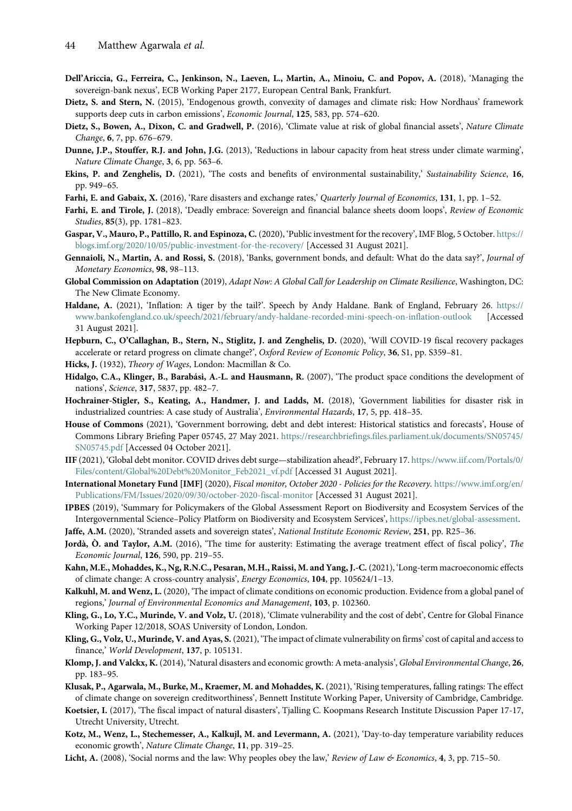- <span id="page-17-0"></span>Dell'Ariccia, G., Ferreira, C., Jenkinson, N., Laeven, L., Martin, A., Minoiu, C. and Popov, A. (2018), 'Managing the sovereign-bank nexus', ECB Working Paper 2177, European Central Bank, Frankfurt.
- Dietz, S. and Stern, N. (2015), 'Endogenous growth, convexity of damages and climate risk: How Nordhaus' framework supports deep cuts in carbon emissions', Economic Journal, 125, 583, pp. 574–620.
- Dietz, S., Bowen, A., Dixon, C. and Gradwell, P. (2016), 'Climate value at risk of global financial assets', Nature Climate Change, 6, 7, pp. 676–679.
- Dunne, J.P., Stouffer, R.J. and John, J.G. (2013), 'Reductions in labour capacity from heat stress under climate warming', Nature Climate Change, 3, 6, pp. 563–6.
- Ekins, P. and Zenghelis, D. (2021), 'The costs and benefits of environmental sustainability,' Sustainability Science, 16, pp. 949–65.
- Farhi, E. and Gabaix, X. (2016), 'Rare disasters and exchange rates,' Quarterly Journal of Economics, 131, 1, pp. 1–52.
- Farhi, E. and Tirole, J. (2018), 'Deadly embrace: Sovereign and financial balance sheets doom loops', Review of Economic Studies, 85(3), pp. 1781–823.
- Gaspar, V., Mauro, P., Pattillo, R. and Espinoza, C. (2020), 'Public investment for the recovery', IMF Blog, 5 October. [https://](https://blogs.imf.org/2020/10/05/public-investment-for-the-recovery/) [blogs.imf.org/2020/10/05/public-investment-for-the-recovery/](https://blogs.imf.org/2020/10/05/public-investment-for-the-recovery/) [Accessed 31 August 2021].
- Gennaioli, N., Martin, A. and Rossi, S. (2018), 'Banks, government bonds, and default: What do the data say?', Journal of Monetary Economics, 98, 98–113.
- Global Commission on Adaptation (2019), Adapt Now: A Global Call for Leadership on Climate Resilience, Washington, DC: The New Climate Economy.
- Haldane, A. (2021), 'Inflation: A tiger by the tail?'. Speech by Andy Haldane. Bank of England, February 26. [https://](https://www.bankofengland.co.uk/speech/2021/february/andy-haldane-recorded-mini-speech-on-inflation-outlook) [www.bankofengland.co.uk/speech/2021/february/andy-haldane-recorded-mini-speech-on-inflation-outlook](https://www.bankofengland.co.uk/speech/2021/february/andy-haldane-recorded-mini-speech-on-inflation-outlook) [Accessed 31 August 2021].
- Hepburn, C., O'Callaghan, B., Stern, N., Stiglitz, J. and Zenghelis, D. (2020), 'Will COVID-19 fiscal recovery packages accelerate or retard progress on climate change?', Oxford Review of Economic Policy, 36, S1, pp. S359-81.
- Hicks, J. (1932), Theory of Wages, London: Macmillan & Co.
- Hidalgo, C.A., Klinger, B., Barabási, A.-L. and Hausmann, R. (2007), 'The product space conditions the development of nations', Science, 317, 5837, pp. 482–7.
- Hochrainer-Stigler, S., Keating, A., Handmer, J. and Ladds, M. (2018), 'Government liabilities for disaster risk in industrialized countries: A case study of Australia', Environmental Hazards, 17, 5, pp. 418–35.
- House of Commons (2021), 'Government borrowing, debt and debt interest: Historical statistics and forecasts', House of Commons Library Briefing Paper 05745, 27 May 2021. [https://researchbriefings.files.parliament.uk/documents/SN05745/](https://researchbriefings.files.parliament.uk/documents/SN05745/SN05745.pdf) [SN05745.pdf](https://researchbriefings.files.parliament.uk/documents/SN05745/SN05745.pdf) [Accessed 04 October 2021].
- IIF (2021), 'Global debt monitor. COVID drives debt surge—stabilization ahead?', February 17. [https://www.iif.com/Portals/0/](https://www.iif.com/Portals/0/Files/content/Global%20Debt%20Monitor_Feb2021_vf.pdf) [Files/content/Global%20Debt%20Monitor\\_Feb2021\\_vf.pdf](https://www.iif.com/Portals/0/Files/content/Global%20Debt%20Monitor_Feb2021_vf.pdf) [Accessed 31 August 2021].
- International Monetary Fund [IMF] (2020), Fiscal monitor, October 2020 Policies for the Recovery. [https://www.imf.org/en/](https://www.imf.org/en/Publications/FM/Issues/2020/09/30/october-2020-fiscal-monitor) [Publications/FM/Issues/2020/09/30/october-2020-fiscal-monitor](https://www.imf.org/en/Publications/FM/Issues/2020/09/30/october-2020-fiscal-monitor) [Accessed 31 August 2021].
- IPBES (2019), 'Summary for Policymakers of the Global Assessment Report on Biodiversity and Ecosystem Services of the Intergovernmental Science–Policy Platform on Biodiversity and Ecosystem Services', [https://ipbes.net/global-assessment.](https://ipbes.net/global-assessment)
- Jaffe, A.M. (2020), 'Stranded assets and sovereign states', National Institute Economic Review, 251, pp. R25-36.
- Jordà, Ò. and Taylor, A.M. (2016), 'The time for austerity: Estimating the average treatment effect of fiscal policy', The Economic Journal, 126, 590, pp. 219–55.
- Kahn, M.E., Mohaddes, K., Ng, R.N.C., Pesaran, M.H., Raissi, M. and Yang, J.-C. (2021), 'Long-term macroeconomic effects of climate change: A cross-country analysis', Energy Economics, 104, pp. 105624/1–13.
- Kalkuhl, M. and Wenz, L. (2020), 'The impact of climate conditions on economic production. Evidence from a global panel of regions,' Journal of Environmental Economics and Management, 103, p. 102360.
- Kling, G., Lo, Y.C., Murinde, V. and Volz, U. (2018), 'Climate vulnerability and the cost of debt', Centre for Global Finance Working Paper 12/2018, SOAS University of London, London.
- Kling, G., Volz, U., Murinde, V. and Ayas, S. (2021), 'The impact of climate vulnerability on firms' cost of capital and access to finance,' World Development, 137, p. 105131.
- Klomp, J. and Valckx, K. (2014), 'Natural disasters and economic growth: A meta-analysis', Global Environmental Change, 26, pp. 183–95.
- Klusak, P., Agarwala, M., Burke, M., Kraemer, M. and Mohaddes, K. (2021), 'Rising temperatures, falling ratings: The effect of climate change on sovereign creditworthiness', Bennett Institute Working Paper, University of Cambridge, Cambridge.
- Koetsier, I. (2017), 'The fiscal impact of natural disasters', Tjalling C. Koopmans Research Institute Discussion Paper 17-17, Utrecht University, Utrecht.
- Kotz, M., Wenz, L., Stechemesser, A., Kalkujl, M. and Levermann, A. (2021), 'Day-to-day temperature variability reduces economic growth', Nature Climate Change, 11, pp. 319–25.
- Licht, A. (2008), 'Social norms and the law: Why peoples obey the law,' Review of Law & Economics, 4, 3, pp. 715–50.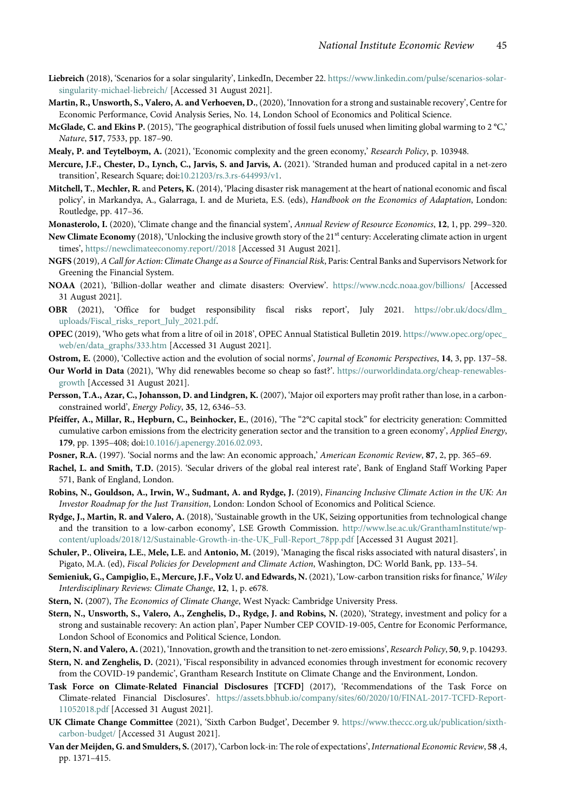- <span id="page-18-0"></span>Liebreich (2018), 'Scenarios for a solar singularity', LinkedIn, December 22. [https://www.linkedin.com/pulse/scenarios-solar](https://www.linkedin.com/pulse/scenarios-solar-singularity-michael-liebreich/)[singularity-michael-liebreich/](https://www.linkedin.com/pulse/scenarios-solar-singularity-michael-liebreich/) [Accessed 31 August 2021].
- Martin, R., Unsworth, S., Valero, A. and Verhoeven, D., (2020), 'Innovation for a strong and sustainable recovery', Centre for Economic Performance, Covid Analysis Series, No. 14, London School of Economics and Political Science.
- McGlade, C. and Ekins P. (2015), 'The geographical distribution of fossil fuels unused when limiting global warming to 2 °C,' Nature, 517, 7533, pp. 187–90.
- Mealy, P. and Teytelboym, A. (2021), 'Economic complexity and the green economy,' Research Policy, p. 103948.
- Mercure, J.F., Chester, D., Lynch, C., Jarvis, S. and Jarvis, A. (2021). 'Stranded human and produced capital in a net-zero transition', Research Square; doi[:10.21203/rs.3.rs-644993/v1.](https://doi.org/10.21203/rs.3.rs-644993/v1)
- Mitchell, T., Mechler, R. and Peters, K. (2014), 'Placing disaster risk management at the heart of national economic and fiscal policy', in Markandya, A., Galarraga, I. and de Murieta, E.S. (eds), Handbook on the Economics of Adaptation, London: Routledge, pp. 417–36.
- Monasterolo, I. (2020), 'Climate change and the financial system', Annual Review of Resource Economics, 12, 1, pp. 299–320.
- New Climate Economy (2018), 'Unlocking the inclusive growth story of the 21<sup>st</sup> century: Accelerating climate action in urgent times', <https://newclimateeconomy.report//2018> [Accessed 31 August 2021].
- NGFS (2019), A Call for Action: Climate Change as a Source of Financial Risk, Paris: Central Banks and Supervisors Network for Greening the Financial System.
- NOAA (2021), 'Billion-dollar weather and climate disasters: Overview'. <https://www.ncdc.noaa.gov/billions/> [Accessed 31 August 2021].
- OBR (2021), 'Office for budget responsibility fiscal risks report', July 2021. [https://obr.uk/docs/dlm\\_](https://obr.uk/docs/dlm_uploads/Fiscal_risks_report_July_2021.pdf) [uploads/Fiscal\\_risks\\_report\\_July\\_2021.pdf](https://obr.uk/docs/dlm_uploads/Fiscal_risks_report_July_2021.pdf).
- OPEC (2019), 'Who gets what from a litre of oil in 2018', OPEC Annual Statistical Bulletin 2019. [https://www.opec.org/opec\\_](https://www.opec.org/opec_web/en/data_graphs/333.htm) [web/en/data\\_graphs/333.htm](https://www.opec.org/opec_web/en/data_graphs/333.htm) [Accessed 31 August 2021].
- Ostrom, E. (2000), 'Collective action and the evolution of social norms', Journal of Economic Perspectives, 14, 3, pp. 137–58.
- Our World in Data (2021), 'Why did renewables become so cheap so fast?'. [https://ourworldindata.org/cheap-renewables](https://ourworldindata.org/cheap-renewables-growth)[growth](https://ourworldindata.org/cheap-renewables-growth) [Accessed 31 August 2021].
- Persson, T.A., Azar, C., Johansson, D. and Lindgren, K. (2007), 'Major oil exporters may profit rather than lose, in a carbonconstrained world', Energy Policy, 35, 12, 6346–53.
- Pfeiffer, A., Millar, R., Hepburn, C., Beinhocker, E., (2016), 'The "2°C capital stock" for electricity generation: Committed cumulative carbon emissions from the electricity generation sector and the transition to a green economy', Applied Energy, 179, pp. 1395–408; doi[:10.1016/j.apenergy.2016.02.093.](https://doi.org/10.1016/j.apenergy.2016.02.093)
- Posner, R.A. (1997). 'Social norms and the law: An economic approach,' American Economic Review, 87, 2, pp. 365–69.
- Rachel, L. and Smith, T.D. (2015). 'Secular drivers of the global real interest rate', Bank of England Staff Working Paper 571, Bank of England, London.
- Robins, N., Gouldson, A., Irwin, W., Sudmant, A. and Rydge, J. (2019), Financing Inclusive Climate Action in the UK: An Investor Roadmap for the Just Transition, London: London School of Economics and Political Science.
- Rydge, J., Martin, R. and Valero, A. (2018), 'Sustainable growth in the UK, Seizing opportunities from technological change and the transition to a low-carbon economy', LSE Growth Commission. [http://www.lse.ac.uk/GranthamInstitute/wp](http://www.lse.ac.uk/GranthamInstitute/wp-content/uploads/2018/12/Sustainable-Growth-in-the-UK_Full-Report_78pp.pdf)[content/uploads/2018/12/Sustainable-Growth-in-the-UK\\_Full-Report\\_78pp.pdf](http://www.lse.ac.uk/GranthamInstitute/wp-content/uploads/2018/12/Sustainable-Growth-in-the-UK_Full-Report_78pp.pdf) [Accessed 31 August 2021].
- Schuler, P., Oliveira, L.E., Mele, L.E. and Antonio, M. (2019), 'Managing the fiscal risks associated with natural disasters', in Pigato, M.A. (ed), Fiscal Policies for Development and Climate Action, Washington, DC: World Bank, pp. 133–54.
- Semieniuk, G., Campiglio, E., Mercure, J.F., Volz U. and Edwards, N. (2021), 'Low-carbon transition risks for finance,' Wiley Interdisciplinary Reviews: Climate Change, 12, 1, p. e678.
- Stern, N. (2007), The Economics of Climate Change, West Nyack: Cambridge University Press.
- Stern, N., Unsworth, S., Valero, A., Zenghelis, D., Rydge, J. and Robins, N. (2020), 'Strategy, investment and policy for a strong and sustainable recovery: An action plan', Paper Number CEP COVID-19-005, Centre for Economic Performance, London School of Economics and Political Science, London.
- Stern, N. and Valero, A.(2021), 'Innovation, growth and the transition to net-zero emissions', Research Policy, 50, 9, p. 104293.
- Stern, N. and Zenghelis, D. (2021), 'Fiscal responsibility in advanced economies through investment for economic recovery from the COVID-19 pandemic', Grantham Research Institute on Climate Change and the Environment, London.
- Task Force on Climate-Related Financial Disclosures [TCFD] (2017), 'Recommendations of the Task Force on Climate-related Financial Disclosures'. [https://assets.bbhub.io/company/sites/60/2020/10/FINAL-2017-TCFD-Report-](https://assets.bbhub.io/company/sites/60/2020/10/FINAL-2017-TCFD-Report-11052018.pdf)[11052018.pdf](https://assets.bbhub.io/company/sites/60/2020/10/FINAL-2017-TCFD-Report-11052018.pdf) [Accessed 31 August 2021].
- UK Climate Change Committee (2021), 'Sixth Carbon Budget', December 9. [https://www.theccc.org.uk/publication/sixth](https://www.theccc.org.uk/publication/sixth-carbon-budget/)[carbon-budget/](https://www.theccc.org.uk/publication/sixth-carbon-budget/) [Accessed 31 August 2021].
- Van der Meijden, G. and Smulders, S. (2017), 'Carbon lock-in: The role of expectations', International Economic Review, 58 ,4, pp. 1371–415.